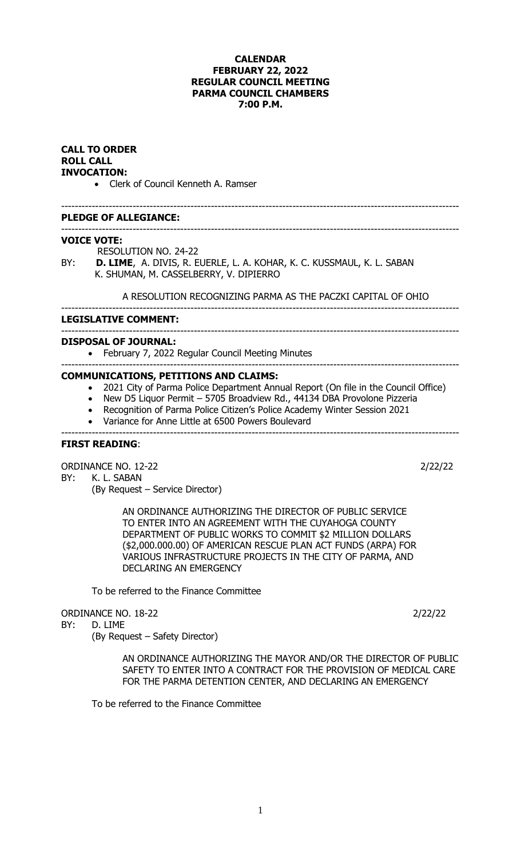## **CALENDAR FEBRUARY 22, 2022 REGULAR COUNCIL MEETING PARMA COUNCIL CHAMBERS 7:00 P.M.**

### **CALL TO ORDER ROLL CALL INVOCATION:**

• Clerk of Council Kenneth A. Ramser

#### --------------------------------------------------------------------------------------------------------------------- **PLEDGE OF ALLEGIANCE:**

# **VOICE VOTE:**

RESOLUTION NO. 24-22

BY: **D. LIME**, A. DIVIS, R. EUERLE, L. A. KOHAR, K. C. KUSSMAUL, K. L. SABAN K. SHUMAN, M. CASSELBERRY, V. DIPIERRO

## A RESOLUTION RECOGNIZING PARMA AS THE PACZKI CAPITAL OF OHIO

---------------------------------------------------------------------------------------------------------------------

#### **LEGISLATIVE COMMENT:**

# ---------------------------------------------------------------------------------------------------------------------

- **DISPOSAL OF JOURNAL:**
	- February 7, 2022 Regular Council Meeting Minutes ---------------------------------------------------------------------------------------------------------------------

#### **COMMUNICATIONS, PETITIONS AND CLAIMS:**

- 2021 City of Parma Police Department Annual Report (On file in the Council Office)
- New D5 Liquor Permit 5705 Broadview Rd., 44134 DBA Provolone Pizzeria

---------------------------------------------------------------------------------------------------------------------

- Recognition of Parma Police Citizen's Police Academy Winter Session 2021
- Variance for Anne Little at 6500 Powers Boulevard

---------------------------------------------------------------------------------------------------------------------

## **FIRST READING**:

ORDINANCE NO. 12-22 2022/22 BY: K. L. SABAN

(By Request – Service Director)

AN ORDINANCE AUTHORIZING THE DIRECTOR OF PUBLIC SERVICE TO ENTER INTO AN AGREEMENT WITH THE CUYAHOGA COUNTY DEPARTMENT OF PUBLIC WORKS TO COMMIT \$2 MILLION DOLLARS (\$2,000.000.00) OF AMERICAN RESCUE PLAN ACT FUNDS (ARPA) FOR VARIOUS INFRASTRUCTURE PROJECTS IN THE CITY OF PARMA, AND DECLARING AN EMERGENCY

To be referred to the Finance Committee

ORDINANCE NO. 18-22 2022/22

BY: D. LIME

(By Request – Safety Director)

AN ORDINANCE AUTHORIZING THE MAYOR AND/OR THE DIRECTOR OF PUBLIC SAFETY TO ENTER INTO A CONTRACT FOR THE PROVISION OF MEDICAL CARE FOR THE PARMA DETENTION CENTER, AND DECLARING AN EMERGENCY

To be referred to the Finance Committee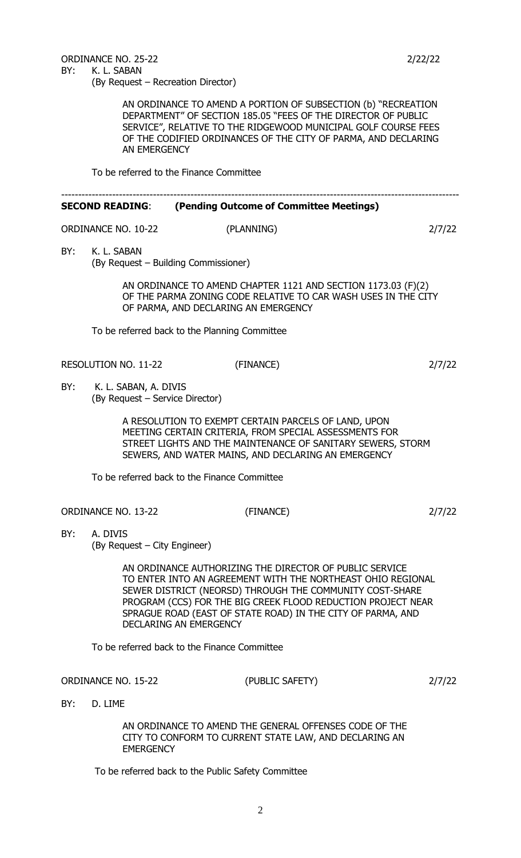ORDINANCE NO. 25-22 20 2/22/22 BY: K. L. SABAN (By Request – Recreation Director)

> AN ORDINANCE TO AMEND A PORTION OF SUBSECTION (b) "RECREATION DEPARTMENT" OF SECTION 185.05 "FEES OF THE DIRECTOR OF PUBLIC SERVICE", RELATIVE TO THE RIDGEWOOD MUNICIPAL GOLF COURSE FEES OF THE CODIFIED ORDINANCES OF THE CITY OF PARMA, AND DECLARING AN EMERGENCY

To be referred to the Finance Committee

|     | <b>SECOND READING:</b>                                   | (Pending Outcome of Committee Meetings)                                                                                                                                                                                                                                                                                                     |        |
|-----|----------------------------------------------------------|---------------------------------------------------------------------------------------------------------------------------------------------------------------------------------------------------------------------------------------------------------------------------------------------------------------------------------------------|--------|
|     | <b>ORDINANCE NO. 10-22</b>                               | (PLANNING)                                                                                                                                                                                                                                                                                                                                  | 2/7/22 |
| BY: | K. L. SABAN                                              | (By Request – Building Commissioner)                                                                                                                                                                                                                                                                                                        |        |
|     |                                                          | AN ORDINANCE TO AMEND CHAPTER 1121 AND SECTION 1173.03 (F)(2)<br>OF THE PARMA ZONING CODE RELATIVE TO CAR WASH USES IN THE CITY<br>OF PARMA, AND DECLARING AN EMERGENCY                                                                                                                                                                     |        |
|     |                                                          | To be referred back to the Planning Committee                                                                                                                                                                                                                                                                                               |        |
|     | <b>RESOLUTION NO. 11-22</b>                              | (FINANCE)                                                                                                                                                                                                                                                                                                                                   | 2/7/22 |
| BY: | K. L. SABAN, A. DIVIS<br>(By Request - Service Director) |                                                                                                                                                                                                                                                                                                                                             |        |
|     |                                                          | A RESOLUTION TO EXEMPT CERTAIN PARCELS OF LAND, UPON<br>MEETING CERTAIN CRITERIA, FROM SPECIAL ASSESSMENTS FOR<br>STREET LIGHTS AND THE MAINTENANCE OF SANITARY SEWERS, STORM<br>SEWERS, AND WATER MAINS, AND DECLARING AN EMERGENCY                                                                                                        |        |
|     |                                                          | To be referred back to the Finance Committee                                                                                                                                                                                                                                                                                                |        |
|     | <b>ORDINANCE NO. 13-22</b>                               | (FINANCE)                                                                                                                                                                                                                                                                                                                                   | 2/7/22 |
| BY: | A. DIVIS<br>(By Request – City Engineer)                 |                                                                                                                                                                                                                                                                                                                                             |        |
|     |                                                          | AN ORDINANCE AUTHORIZING THE DIRECTOR OF PUBLIC SERVICE<br>TO ENTER INTO AN AGREEMENT WITH THE NORTHEAST OHIO REGIONAL<br>SEWER DISTRICT (NEORSD) THROUGH THE COMMUNITY COST-SHARE<br>PROGRAM (CCS) FOR THE BIG CREEK FLOOD REDUCTION PROJECT NEAR<br>SPRAGUE ROAD (EAST OF STATE ROAD) IN THE CITY OF PARMA, AND<br>DECLARING AN EMERGENCY |        |
|     |                                                          | To be referred back to the Finance Committee                                                                                                                                                                                                                                                                                                |        |
|     | <b>ORDINANCE NO. 15-22</b>                               | (PUBLIC SAFETY)                                                                                                                                                                                                                                                                                                                             | 2/7/22 |
| BY: | D. LIME                                                  |                                                                                                                                                                                                                                                                                                                                             |        |
|     |                                                          | AN ORDINANCE TO AMEND THE GENERAL OFFENSES CODE OF THE<br>CITY TO CONFORM TO CURRENT STATE LAW, AND DECLARING AN                                                                                                                                                                                                                            |        |

To be referred back to the Public Safety Committee

EMERGENCY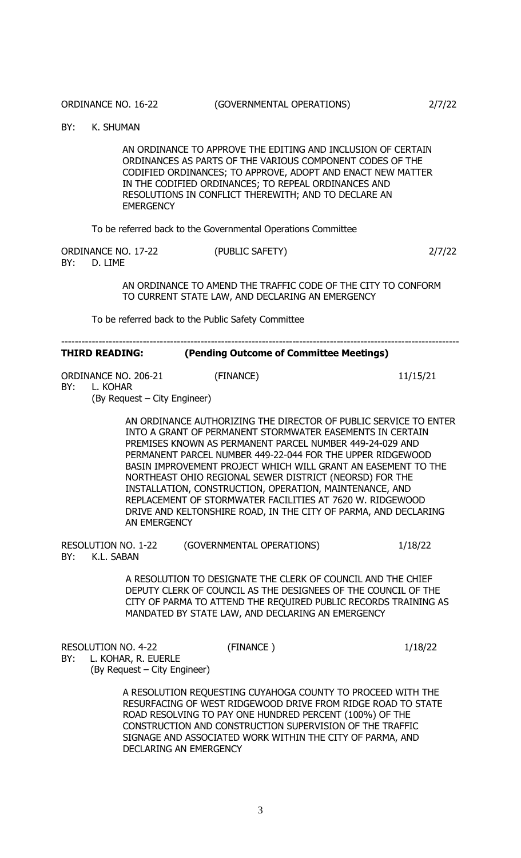BY: K. SHUMAN

AN ORDINANCE TO APPROVE THE EDITING AND INCLUSION OF CERTAIN ORDINANCES AS PARTS OF THE VARIOUS COMPONENT CODES OF THE CODIFIED ORDINANCES; TO APPROVE, ADOPT AND ENACT NEW MATTER IN THE CODIFIED ORDINANCES; TO REPEAL ORDINANCES AND RESOLUTIONS IN CONFLICT THEREWITH; AND TO DECLARE AN **EMERGENCY** 

To be referred back to the Governmental Operations Committee

| ORDINANCE NO. 17-22 |             | (PUBLIC SAFETY) | 2/7/22 |
|---------------------|-------------|-----------------|--------|
|                     | BY: D. LIME |                 |        |

AN ORDINANCE TO AMEND THE TRAFFIC CODE OF THE CITY TO CONFORM TO CURRENT STATE LAW, AND DECLARING AN EMERGENCY

To be referred back to the Public Safety Committee

| (Pending Outcome of Committee Meetings)<br><b>THIRD READING:</b> |  |
|------------------------------------------------------------------|--|
|------------------------------------------------------------------|--|

---------------------------------------------------------------------------------------------------------------------

ORDINANCE NO. 206-21 (FINANCE) 11/15/21 BY: L. KOHAR (By Request – City Engineer)

> AN ORDINANCE AUTHORIZING THE DIRECTOR OF PUBLIC SERVICE TO ENTER INTO A GRANT OF PERMANENT STORMWATER EASEMENTS IN CERTAIN PREMISES KNOWN AS PERMANENT PARCEL NUMBER 449-24-029 AND PERMANENT PARCEL NUMBER 449-22-044 FOR THE UPPER RIDGEWOOD BASIN IMPROVEMENT PROJECT WHICH WILL GRANT AN EASEMENT TO THE NORTHEAST OHIO REGIONAL SEWER DISTRICT (NEORSD) FOR THE INSTALLATION, CONSTRUCTION, OPERATION, MAINTENANCE, AND REPLACEMENT OF STORMWATER FACILITIES AT 7620 W. RIDGEWOOD DRIVE AND KELTONSHIRE ROAD, IN THE CITY OF PARMA, AND DECLARING AN EMERGENCY

RESOLUTION NO. 1-22 (GOVERNMENTAL OPERATIONS) 1/18/22 BY: K.L. SABAN

> A RESOLUTION TO DESIGNATE THE CLERK OF COUNCIL AND THE CHIEF DEPUTY CLERK OF COUNCIL AS THE DESIGNEES OF THE COUNCIL OF THE CITY OF PARMA TO ATTEND THE REQUIRED PUBLIC RECORDS TRAINING AS MANDATED BY STATE LAW, AND DECLARING AN EMERGENCY

RESOLUTION NO. 4-22 (FINANCE) (FINANCE) 1/18/22

BY: L. KOHAR, R. EUERLE (By Request – City Engineer)

> A RESOLUTION REQUESTING CUYAHOGA COUNTY TO PROCEED WITH THE RESURFACING OF WEST RIDGEWOOD DRIVE FROM RIDGE ROAD TO STATE ROAD RESOLVING TO PAY ONE HUNDRED PERCENT (100%) OF THE CONSTRUCTION AND CONSTRUCTION SUPERVISION OF THE TRAFFIC SIGNAGE AND ASSOCIATED WORK WITHIN THE CITY OF PARMA, AND DECLARING AN EMERGENCY